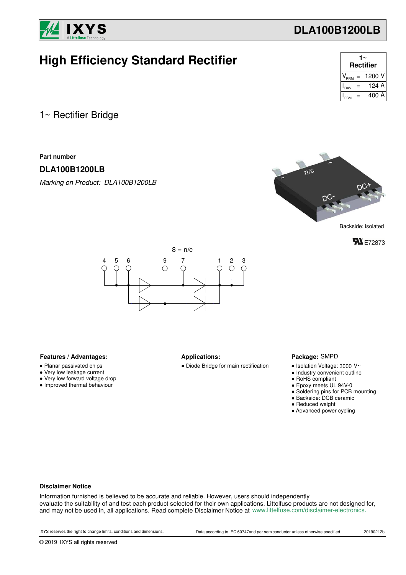

| <b>High Efficiency Standard Rectifier</b> | $1~^\sim$ Rectifier                      |
|-------------------------------------------|------------------------------------------|
|                                           | $V_{\text{RRM}} = 1200 V$                |
|                                           | $= 124 A$<br>$\mathsf{I}_{\texttt{DAV}}$ |
|                                           | $= 400 A$<br>$\mathsf{I}_{\mathsf{FSM}}$ |
|                                           |                                          |

1~ Rectifier Bridge

**Part number**

### **DLA100B1200LB**

*Marking on Product: DLA100B1200LB*



**FL** E72873



#### Features / Advantages: **All Applications: Applications:**

- Planar passivated chips
- Very low leakage current
- Very low forward voltage drop
- Improved thermal behaviour

● Diode Bridge for main rectification

#### Package: SMPD

- $\bullet$  Isolation Voltage: 3000 V~
- Industry convenient outline
- RoHS compliant
- Epoxy meets UL 94V-0
- Soldering pins for PCB mounting
- Backside: DCB ceramic
- Reduced weight
- Advanced power cycling

#### **Disclaimer Notice**

Information furnished is believed to be accurate and reliable. However, users should independently evaluate the suitability of and test each product selected for their own applications. Littelfuse products are not designed for, and may not be used in, all applications. Read complete Disclaimer Notice at www.littelfuse.com/disclaimer-electronics.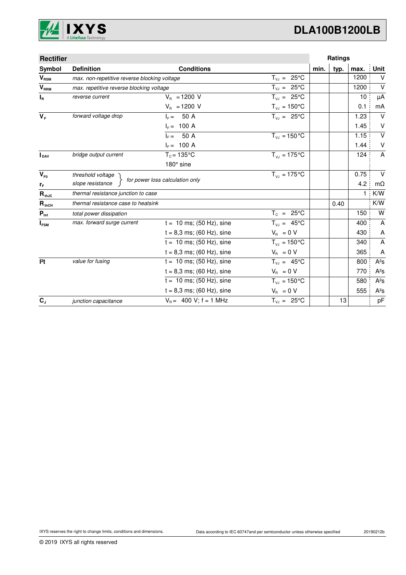

| <b>Rectifier</b> |                                              |                                 |                                 |      | Ratings |      |                           |
|------------------|----------------------------------------------|---------------------------------|---------------------------------|------|---------|------|---------------------------|
| Symbol           | <b>Definition</b>                            | <b>Conditions</b>               |                                 | min. | typ.    | max. | Unit                      |
| $V_{\text{RSM}}$ | max. non-repetitive reverse blocking voltage |                                 | $T_{V,I} = 25^{\circ}C$         |      |         | 1200 | $\vee$                    |
| V <sub>RRM</sub> | max. repetitive reverse blocking voltage     |                                 | $T_{V,I} = 25^{\circ}C$         |      |         | 1200 | $\vee$                    |
| $I_R$            | reverse current                              | $V_{B} = 1200 V$                | $T_{VJ} = 25^{\circ}C$          |      |         | 10   | μA                        |
|                  |                                              | $V_R$ = 1200 V                  | $T_{\nu J} = 150^{\circ}C$      |      |         | 0.1  | mA                        |
| $V_F$            | forward voltage drop                         | 50 A<br>$I_F =$                 | $T_{v,i} = 25^{\circ}C$         |      |         | 1.23 | $\vee$                    |
|                  |                                              | $I_F = 100 A$                   |                                 |      |         | 1.45 | V                         |
|                  |                                              | 50 A<br>$IE =$                  | $T_{VJ} = 150 °C$               |      |         | 1.15 | $\overline{V}$            |
|                  |                                              | $I_F = 100 A$                   |                                 |      |         | 1.44 | $\vee$                    |
| <b>DAV</b>       | bridge output current                        | $T_c = 135$ °C                  | $T_{V1} = 175^{\circ}C$         |      |         | 124  | $\overline{A}$            |
|                  |                                              | 180° sine                       |                                 |      |         |      |                           |
| $V_{F0}$         | threshold voltage                            |                                 | $T_{V1} = 175$ °C               |      |         | 0.75 | $\vee$                    |
| $r_F$            | slope resistance                             | for power loss calculation only |                                 |      |         | 4.2  | mΩ                        |
| $R_{thJC}$       | thermal resistance junction to case          |                                 |                                 |      |         | 1    | K/W                       |
| $R_{thCH}$       | thermal resistance case to heatsink          |                                 |                                 |      | 0.40    |      | K/W                       |
| $P_{\text{tot}}$ | total power dissipation                      |                                 | $T_c = 25^{\circ}C$             |      |         | 150  | W                         |
| $I_{FSM}$        | max. forward surge current                   | $t = 10$ ms; (50 Hz), sine      | $T_{VJ} = 45^{\circ}C$          |      |         | 400  | A                         |
|                  |                                              | $t = 8,3$ ms; (60 Hz), sine     | $V_R = 0 V$                     |      |         | 430  | A                         |
|                  |                                              | $t = 10$ ms; (50 Hz), sine      | $T_{\text{VJ}} = 150^{\circ}$ C |      |         | 340  | $\boldsymbol{\mathsf{A}}$ |
|                  |                                              | $t = 8.3$ ms; (60 Hz), sine     | $V_{\rm R} = 0 V$               |      |         | 365  | A                         |
| 12t              | value for fusing                             | $t = 10$ ms; (50 Hz), sine      | $T_{V,1} = 45^{\circ}C$         |      |         | 800  | $A^2S$                    |
|                  |                                              | $t = 8,3$ ms; (60 Hz), sine     | $V_{\rm B} = 0 V$               |      |         | 770  | $A^2S$                    |
|                  |                                              | $t = 10$ ms; (50 Hz), sine      | $T_{\text{VJ}} = 150^{\circ}$ C |      |         | 580  | $A^2S$                    |
|                  |                                              | $t = 8,3$ ms; (60 Hz), sine     | $V_R = 0 V$                     |      |         | 555  | $A^2S$                    |
| $C_{J}$          | junction capacitance                         | $V_B = 400 V$ ; f = 1 MHz       | $T_{VJ} = 25^{\circ}C$          |      | 13      |      | pF                        |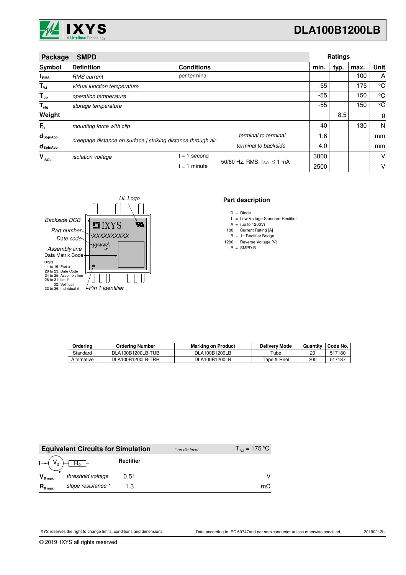

| Package                         | <b>SMPD</b>                                                  |                   |                            |       | <b>Ratings</b> |      |             |
|---------------------------------|--------------------------------------------------------------|-------------------|----------------------------|-------|----------------|------|-------------|
| Symbol                          | <b>Definition</b>                                            | <b>Conditions</b> |                            | min.  | typ.           | max. | Unit        |
| I <sub>RMS</sub>                | <b>RMS</b> current                                           | per terminal      |                            |       |                | 100  | A           |
| $T_{\nu J}$                     | virtual junction temperature                                 |                   |                            | -55   |                | 175  | °C          |
| $T_{op}$                        | operation temperature                                        |                   |                            | $-55$ |                | 150  | $^{\circ}C$ |
| $\mathsf{T}_{\sf{stg}}$         | storage temperature                                          |                   |                            | $-55$ |                | 150  | $^{\circ}C$ |
| Weight                          |                                                              |                   |                            |       | 8.5            |      | g           |
| $F_c$                           | mounting force with clip                                     |                   |                            | 40    |                | 130  | N           |
| $d_{\mathsf{Spp/App}}$          | creepage distance on surface   striking distance through air |                   | terminal to terminal       | 1.6   |                |      | mm          |
| $d_{\mathsf{Spb}/\mathsf{Apb}}$ |                                                              |                   | terminal to backside       | 4.0   |                |      | mm          |
| v<br><b>ISOL</b>                | <i>isolation</i> voltage                                     | second<br>$= 1$   |                            | 3000  |                |      | v           |
|                                 |                                                              | $= 1$ minute      | 50/60 Hz, RMS; IsoL ≤ 1 mA | 2500  |                |      | v           |



#### **Part description**

- D = Diode
- L = Low Voltage Standard Rectifier
- $A = (up to 1200V)$
- 100 = Current Rating [A]
- $B = 1 -$  Rectifier Bridge
- 1200 LB SMPD-B = Reverse Voltage [V] =

| Ordering    | <b>Ordering Number</b> | <b>Marking on Product</b> | <b>Delivery Mode</b> | Quantity | Code No. |
|-------------|------------------------|---------------------------|----------------------|----------|----------|
| Standard    | DLA100B1200LB-TUB      | DLA100B1200LB             | Tube                 | 20       | 517180   |
| Alternative | DLA100B1200LB-TRR      | DLA100B1200LB             | Tape & Reel          | 200      | 517187   |

|                     | <b>Equivalent Circuits for Simulation</b> |           | * on die level | $T_{\rm v,j} = 175 \,^{\circ}\text{C}$ |
|---------------------|-------------------------------------------|-----------|----------------|----------------------------------------|
|                     |                                           | Rectifier |                |                                        |
| $V_{0 \text{ max}}$ | threshold voltage                         | 0.51      |                |                                        |
| $R_{0 \text{ max}}$ | slope resistance *                        |           |                | mО                                     |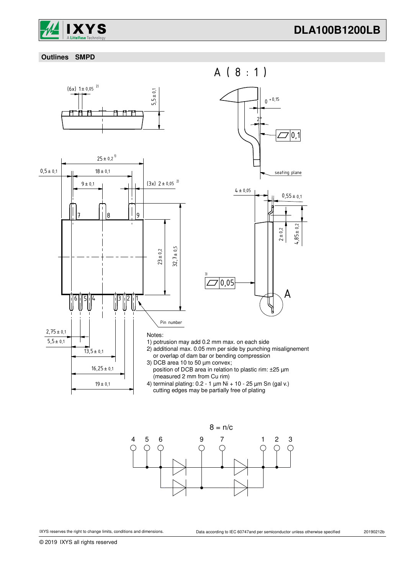

#### **Outlines SMPD**





A  $0,55 \pm 0.1$  $4 \pm 0.05$  $4,85 \pm 0.2$  $2 + 0,2$  $Z$ <sup> $|0.05$ </sup> A ( 8 : 1 ) 0 +0,15 2° $\square$ <sup>1</sup>0.1 seating plane

### 1) potrusion may add 0.2 mm max. on each side

3)

- 2) additional max. 0.05 mm per side by punching misalignement or overlap of dam bar or bending compression
- 3) DCB area 10 to 50 µm convex; position of DCB area in relation to plastic rim: ±25 µm (measured 2 mm from Cu rim)
- 4) terminal plating: 0.2 1 µm Ni + 10 25 µm Sn (gal v.) cutting edges may be partially free of plating